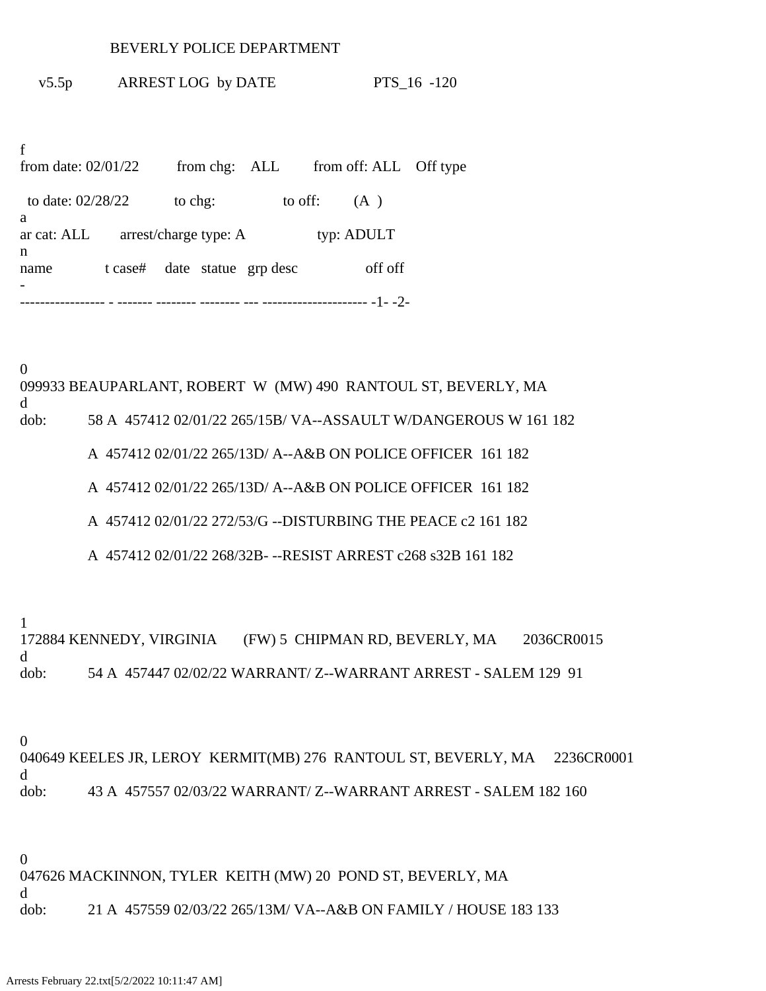## BEVERLY POLICE DEPARTMENT

v5.5p ARREST LOG by DATE PTS\_16 -120

f from date:  $02/01/22$  from chg: ALL from off: ALL Off type to date:  $02/28/22$  to chg: to off: (A) a ar cat: ALL arrest/charge type: A typ: ADULT n name t case# date statue grp desc off off - ----------------- - ------- -------- -------- --- --------------------- -1- -2-

0 099933 BEAUPARLANT, ROBERT W (MW) 490 RANTOUL ST, BEVERLY, MA d dob: 58 A 457412 02/01/22 265/15B/ VA--ASSAULT W/DANGEROUS W 161 182 A 457412 02/01/22 265/13D/ A--A&B ON POLICE OFFICER 161 182 A 457412 02/01/22 265/13D/ A--A&B ON POLICE OFFICER 161 182 A 457412 02/01/22 272/53/G --DISTURBING THE PEACE c2 161 182 A 457412 02/01/22 268/32B- --RESIST ARREST c268 s32B 161 182

1

172884 KENNEDY, VIRGINIA (FW) 5 CHIPMAN RD, BEVERLY, MA 2036CR0015 d dob: 54 A 457447 02/02/22 WARRANT/ Z--WARRANT ARREST - SALEM 129 91

0

040649 KEELES JR, LEROY KERMIT(MB) 276 RANTOUL ST, BEVERLY, MA 2236CR0001 d dob: 43 A 457557 02/03/22 WARRANT/ Z--WARRANT ARREST - SALEM 182 160

0

047626 MACKINNON, TYLER KEITH (MW) 20 POND ST, BEVERLY, MA d dob: 21 A 457559 02/03/22 265/13M/ VA--A&B ON FAMILY / HOUSE 183 133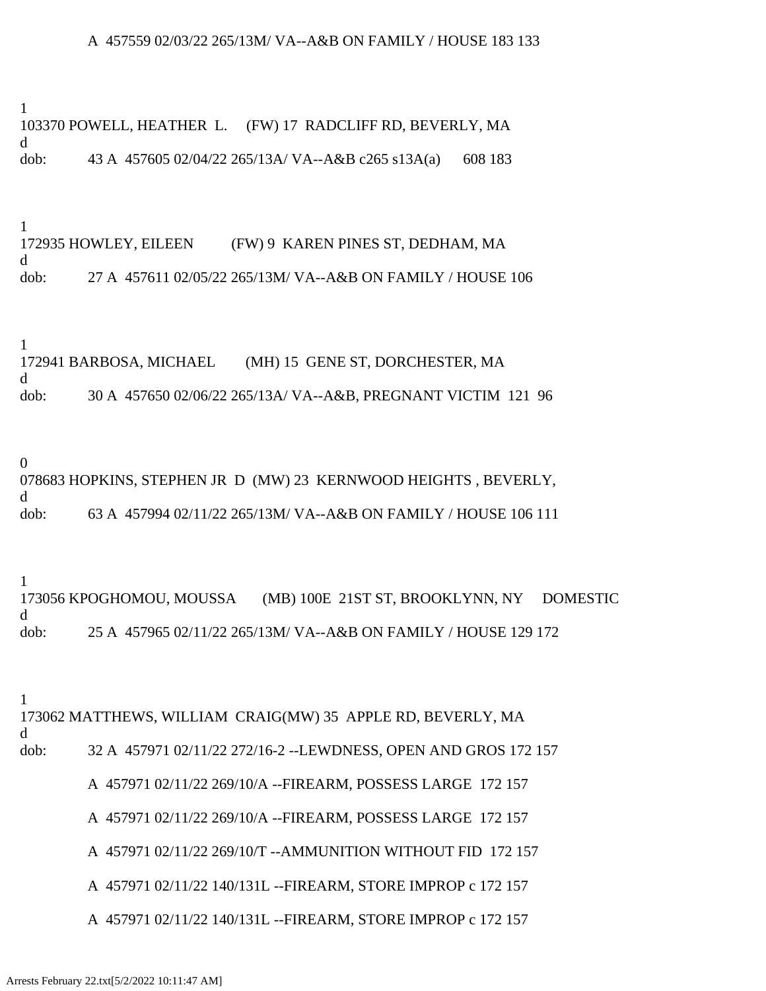## A 457559 02/03/22 265/13M/ VA--A&B ON FAMILY / HOUSE 183 133

1 103370 POWELL, HEATHER L. (FW) 17 RADCLIFF RD, BEVERLY, MA d dob: 43 A 457605 02/04/22 265/13A/ VA--A&B c265 s13A(a) 608 183

1 172935 HOWLEY, EILEEN (FW) 9 KAREN PINES ST, DEDHAM, MA d dob: 27 A 457611 02/05/22 265/13M/ VA--A&B ON FAMILY / HOUSE 106

1

172941 BARBOSA, MICHAEL (MH) 15 GENE ST, DORCHESTER, MA d dob: 30 A 457650 02/06/22 265/13A/ VA--A&B, PREGNANT VICTIM 121 96

0

078683 HOPKINS, STEPHEN JR D (MW) 23 KERNWOOD HEIGHTS , BEVERLY, d dob: 63 A 457994 02/11/22 265/13M/ VA--A&B ON FAMILY / HOUSE 106 111

1

173056 KPOGHOMOU, MOUSSA (MB) 100E 21ST ST, BROOKLYNN, NY DOMESTIC d dob: 25 A 457965 02/11/22 265/13M/ VA--A&B ON FAMILY / HOUSE 129 172

1

173062 MATTHEWS, WILLIAM CRAIG(MW) 35 APPLE RD, BEVERLY, MA d dob: 32 A 457971 02/11/22 272/16-2 --LEWDNESS, OPEN AND GROS 172 157

A 457971 02/11/22 269/10/A --FIREARM, POSSESS LARGE 172 157

A 457971 02/11/22 269/10/A --FIREARM, POSSESS LARGE 172 157

A 457971 02/11/22 269/10/T --AMMUNITION WITHOUT FID 172 157

A 457971 02/11/22 140/131L --FIREARM, STORE IMPROP c 172 157

A 457971 02/11/22 140/131L --FIREARM, STORE IMPROP c 172 157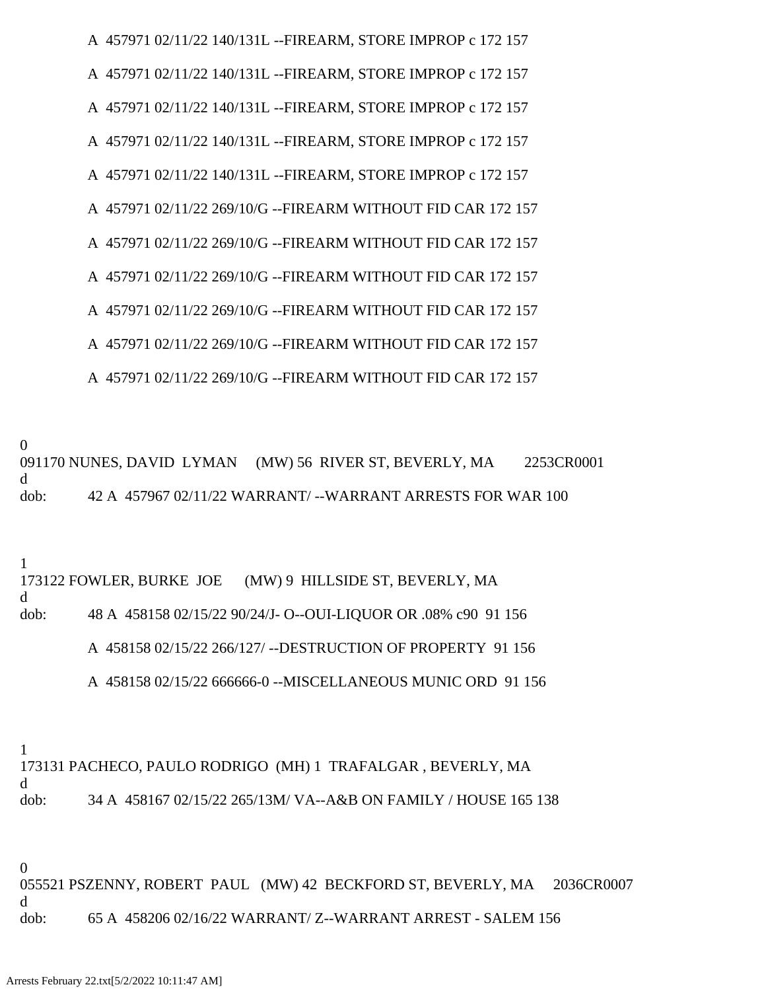A 457971 02/11/22 140/131L --FIREARM, STORE IMPROP c 172 157 A 457971 02/11/22 140/131L --FIREARM, STORE IMPROP c 172 157 A 457971 02/11/22 140/131L --FIREARM, STORE IMPROP c 172 157 A 457971 02/11/22 140/131L --FIREARM, STORE IMPROP c 172 157 A 457971 02/11/22 140/131L --FIREARM, STORE IMPROP c 172 157 A 457971 02/11/22 269/10/G --FIREARM WITHOUT FID CAR 172 157 A 457971 02/11/22 269/10/G --FIREARM WITHOUT FID CAR 172 157 A 457971 02/11/22 269/10/G --FIREARM WITHOUT FID CAR 172 157 A 457971 02/11/22 269/10/G --FIREARM WITHOUT FID CAR 172 157 A 457971 02/11/22 269/10/G --FIREARM WITHOUT FID CAR 172 157 A 457971 02/11/22 269/10/G --FIREARM WITHOUT FID CAR 172 157

0

091170 NUNES, DAVID LYMAN (MW) 56 RIVER ST, BEVERLY, MA 2253CR0001 d dob: 42 A 457967 02/11/22 WARRANT/ --WARRANT ARRESTS FOR WAR 100

1

173122 FOWLER, BURKE JOE (MW) 9 HILLSIDE ST, BEVERLY, MA d dob: 48 A 458158 02/15/22 90/24/J- O--OUI-LIQUOR OR .08% c90 91 156 A 458158 02/15/22 266/127/ --DESTRUCTION OF PROPERTY 91 156 A 458158 02/15/22 666666-0 --MISCELLANEOUS MUNIC ORD 91 156

1

173131 PACHECO, PAULO RODRIGO (MH) 1 TRAFALGAR , BEVERLY, MA d dob: 34 A 458167 02/15/22 265/13M/ VA--A&B ON FAMILY / HOUSE 165 138

0 055521 PSZENNY, ROBERT PAUL (MW) 42 BECKFORD ST, BEVERLY, MA 2036CR0007 d dob: 65 A 458206 02/16/22 WARRANT/ Z--WARRANT ARREST - SALEM 156